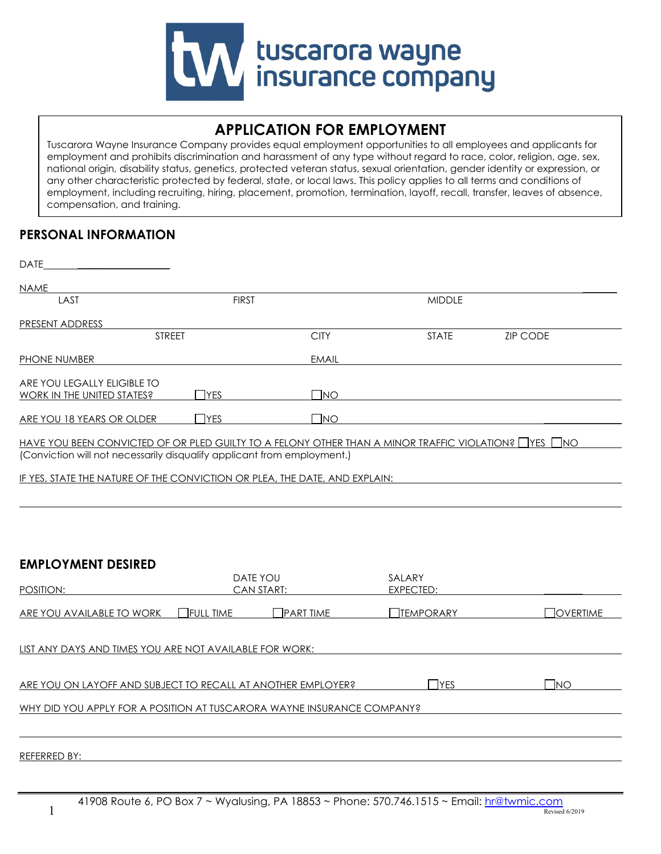

# **APPLICATION FOR EMPLOYMENT**

Tuscarora Wayne Insurance Company provides equal employment opportunities to all employees and applicants for employment and prohibits discrimination and harassment of any type without regard to race, color, religion, age, sex, national origin, disability status, genetics, protected veteran status, sexual orientation, gender identity or expression, or any other characteristic protected by federal, state, or local laws. This policy applies to all terms and conditions of employment, including recruiting, hiring, placement, promotion, termination, layoff, recall, transfer, leaves of absence, compensation, and training.

## **PERSONAL INFORMATION**

| <b>DATE</b>                                                                                                                                                                      |              |              |               |                 |
|----------------------------------------------------------------------------------------------------------------------------------------------------------------------------------|--------------|--------------|---------------|-----------------|
| <b>NAME</b>                                                                                                                                                                      |              |              |               |                 |
| LAST                                                                                                                                                                             | <b>FIRST</b> |              | <b>MIDDLE</b> |                 |
| PRESENT ADDRESS                                                                                                                                                                  |              |              |               |                 |
| <b>STREET</b>                                                                                                                                                                    |              | <b>CITY</b>  | <b>STATE</b>  | <b>ZIP CODE</b> |
| PHONE NUMBER                                                                                                                                                                     |              | <b>EMAIL</b> |               |                 |
| ARE YOU LEGALLY ELIGIBLE TO<br><b>WORK IN THE UNITED STATES?</b>                                                                                                                 | <b>IYES</b>  | $\Box$ NO    |               |                 |
| ARE YOU 18 YEARS OR OLDER                                                                                                                                                        | <b>IYES</b>  | <b>INO</b>   |               |                 |
| HAVE YOU BEEN CONVICTED OF OR PLED GUILTY TO A FELONY OTHER THAN A MINOR TRAFFIC VIOLATION? THES TIMO<br>(Conviction will not necessarily disqualify applicant from employment.) |              |              |               |                 |

IF YES, STATE THE NATURE OF THE CONVICTION OR PLEA, THE DATE, AND EXPLAIN:

### **EMPLOYMENT DESIRED**

 $\overline{a}$ 

| POSITION:                                                              |                  | DATE YOU<br>CAN START: | SALARY<br>EXPECTED: |                    |
|------------------------------------------------------------------------|------------------|------------------------|---------------------|--------------------|
| ARE YOU AVAILABLE TO WORK                                              | <b>FULL TIME</b> | <b>PART TIME</b>       | <b>TEMPORARY</b>    | $\exists$ overtime |
| LIST ANY DAYS AND TIMES YOU ARE NOT AVAILABLE FOR WORK:                |                  |                        |                     |                    |
| ARE YOU ON LAYOFF AND SUBJECT TO RECALL AT ANOTHER EMPLOYER?           |                  |                        | ירוΣו               | <b>INO</b>         |
| WHY DID YOU APPLY FOR A POSITION AT TUSCARORA WAYNE INSURANCE COMPANY? |                  |                        |                     |                    |
|                                                                        |                  |                        |                     |                    |
| <b>REFERRED BY:</b>                                                    |                  |                        |                     |                    |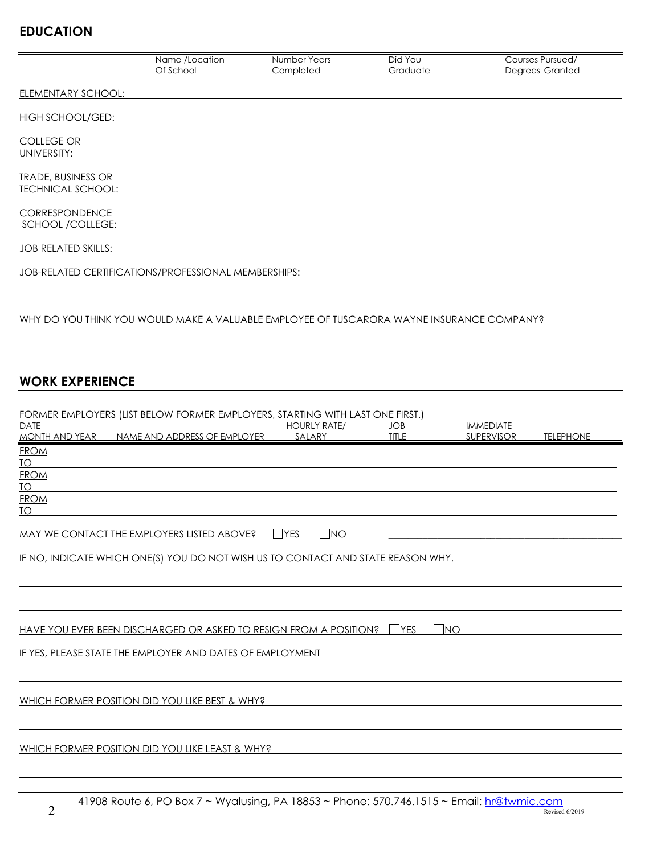# **EDUCATION**

|                                                       | Name /Location<br>Of School                                                                                   | Number Years<br>Completed      | Did You<br>Graduate        | Courses Pursued/<br>Degrees Granted                                                     |
|-------------------------------------------------------|---------------------------------------------------------------------------------------------------------------|--------------------------------|----------------------------|-----------------------------------------------------------------------------------------|
| <b>ELEMENTARY SCHOOL:</b>                             |                                                                                                               |                                |                            |                                                                                         |
| <b>HIGH SCHOOL/GED:</b>                               |                                                                                                               |                                |                            |                                                                                         |
| <b>COLLEGE OR</b><br>UNIVERSITY:                      |                                                                                                               |                                |                            |                                                                                         |
| <b>TRADE, BUSINESS OR</b><br><b>TECHNICAL SCHOOL:</b> |                                                                                                               |                                |                            |                                                                                         |
| CORRESPONDENCE<br>SCHOOL /COLLEGE:                    |                                                                                                               |                                |                            |                                                                                         |
| JOB RELATED SKILLS:                                   |                                                                                                               |                                |                            |                                                                                         |
|                                                       | JOB-RELATED CERTIFICATIONS/PROFESSIONAL MEMBERSHIPS:                                                          |                                |                            |                                                                                         |
|                                                       | WHY DO YOU THINK YOU WOULD MAKE A VALUABLE EMPLOYEE OF TUSCARORA WAYNE INSURANCE COMPANY?                     |                                |                            |                                                                                         |
| <b>WORK EXPERIENCE</b>                                |                                                                                                               |                                |                            |                                                                                         |
| <b>DATE</b><br><b>MONTH AND YEAR</b>                  | FORMER EMPLOYERS (LIST BELOW FORMER EMPLOYERS, STARTING WITH LAST ONE FIRST.)<br>NAME AND ADDRESS OF EMPLOYER | <b>HOURLY RATE/</b><br>SALARY  | <b>JOB</b><br><b>TITLE</b> | <b>IMMEDIATE</b><br><b>SUPERVISOR</b><br><b>TELEPHONE</b>                               |
| <b>FROM</b><br><b>TO</b><br><b>FROM</b>               |                                                                                                               |                                |                            |                                                                                         |
| <b>TO</b><br><b>FROM</b><br>$\underline{TO}$          |                                                                                                               |                                |                            |                                                                                         |
|                                                       | MAY WE CONTACT THE EMPLOYERS LISTED ABOVE?                                                                    | $\Box$ YES<br>$\n  \square NO$ |                            |                                                                                         |
|                                                       |                                                                                                               |                                |                            | <u>IF NO, INDICATE WHICH ONE(S) YOU DO NOT WISH US TO CONTACT AND STATE REASON WHY.</u> |
|                                                       |                                                                                                               |                                |                            |                                                                                         |
|                                                       | <u>HAVE YOU EVER BEEN DISCHARGED OR ASKED TO RESIGN FROM A POSITION? □ YES</u>                                |                                | $\Box$ NO                  |                                                                                         |
|                                                       | IF YES, PLEASE STATE THE EMPLOYER AND DATES OF EMPLOYMENT                                                     |                                |                            |                                                                                         |
|                                                       | WHICH FORMER POSITION DID YOU LIKE BEST & WHY?                                                                |                                |                            |                                                                                         |
|                                                       |                                                                                                               |                                |                            |                                                                                         |
|                                                       | WHICH FORMER POSITION DID YOU LIKE LEAST & WHY?                                                               |                                |                            |                                                                                         |
|                                                       |                                                                                                               |                                |                            |                                                                                         |